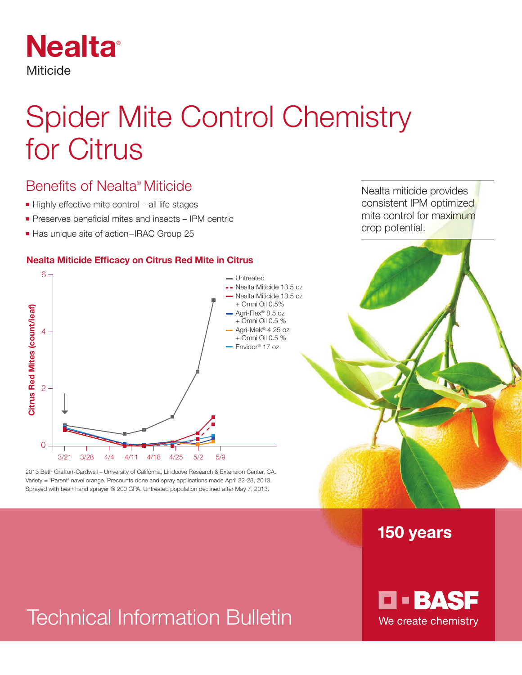

# Spider Mite Control Chemistry for Citrus

## Benefits of Nealta® Miticide

- $\blacksquare$  Highly effective mite control all life stages
- $\blacksquare$  Preserves beneficial mites and insects IPM centric
- Has unique site of action–IRAC Group 25

#### **Nealta Miticide Efficacy on Citrus Red Mite in Citrus**



2013 Beth Grafton-Cardwell – University of California, Lindcove Research & Extension Center, CA. Variety = 'Parent' navel orange. Precounts done and spray applications made April 22-23, 2013.

Nealta miticide provides consistent IPM optimized mite control for maximum crop potential.

### 150 years

# Technical Information Bulletin

**D-BASF** We create chemistry